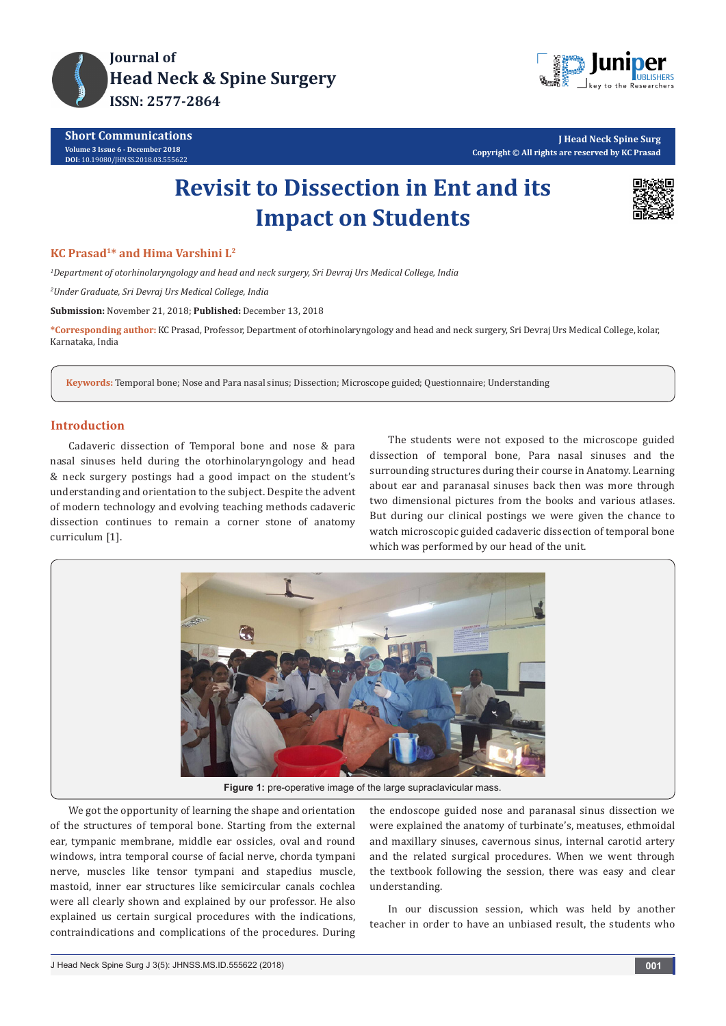



**J Head Neck Spine Surg Copyright © All rights are reserved by KC Prasad**

# **Revisit to Dissection in Ent and its Impact on Students**



## **KC Prasad1\* and Hima Varshini L2**

*1 Department of otorhinolaryngology and head and neck surgery, Sri Devraj Urs Medical College, India*

*2 Under Graduate, Sri Devraj Urs Medical College, India*

**Submission:** November 21, 2018; **Published:** December 13, 2018

**\*Corresponding author:** KC Prasad, Professor, Department of otorhinolaryngology and head and neck surgery, Sri Devraj Urs Medical College, kolar, Karnataka, India

**Keywords:** Temporal bone; Nose and Para nasal sinus; Dissection; Microscope guided; Questionnaire; Understanding

## **Introduction**

Cadaveric dissection of Temporal bone and nose & para nasal sinuses held during the otorhinolaryngology and head & neck surgery postings had a good impact on the student's understanding and orientation to the subject. Despite the advent of modern technology and evolving teaching methods cadaveric dissection continues to remain a corner stone of anatomy curriculum [1].

The students were not exposed to the microscope guided dissection of temporal bone, Para nasal sinuses and the surrounding structures during their course in Anatomy. Learning about ear and paranasal sinuses back then was more through two dimensional pictures from the books and various atlases. But during our clinical postings we were given the chance to watch microscopic guided cadaveric dissection of temporal bone which was performed by our head of the unit.



We got the opportunity of learning the shape and orientation of the structures of temporal bone. Starting from the external ear, tympanic membrane, middle ear ossicles, oval and round windows, intra temporal course of facial nerve, chorda tympani nerve, muscles like tensor tympani and stapedius muscle, mastoid, inner ear structures like semicircular canals cochlea were all clearly shown and explained by our professor. He also explained us certain surgical procedures with the indications, contraindications and complications of the procedures. During the endoscope guided nose and paranasal sinus dissection we were explained the anatomy of turbinate's, meatuses, ethmoidal and maxillary sinuses, cavernous sinus, internal carotid artery and the related surgical procedures. When we went through the textbook following the session, there was easy and clear understanding.

In our discussion session, which was held by another teacher in order to have an unbiased result, the students who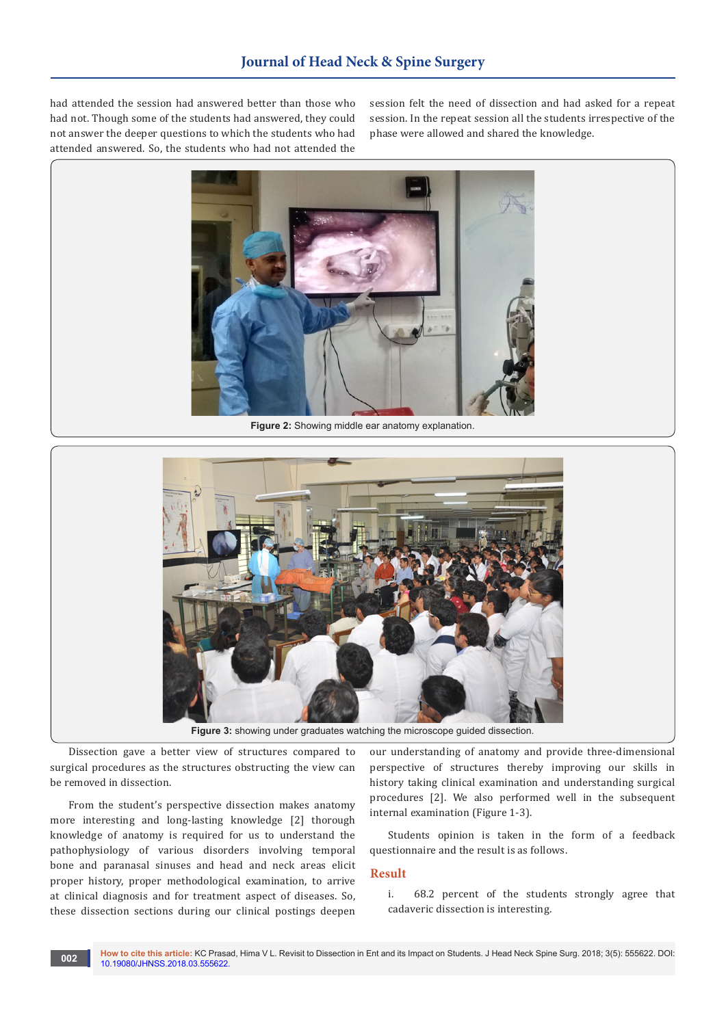had attended the session had answered better than those who had not. Though some of the students had answered, they could not answer the deeper questions to which the students who had attended answered. So, the students who had not attended the session felt the need of dissection and had asked for a repeat session. In the repeat session all the students irrespective of the phase were allowed and shared the knowledge.



**Figure 2:** Showing middle ear anatomy explanation.



Dissection gave a better view of structures compared to surgical procedures as the structures obstructing the view can be removed in dissection.

From the student's perspective dissection makes anatomy more interesting and long-lasting knowledge [2] thorough knowledge of anatomy is required for us to understand the pathophysiology of various disorders involving temporal bone and paranasal sinuses and head and neck areas elicit proper history, proper methodological examination, to arrive at clinical diagnosis and for treatment aspect of diseases. So, these dissection sections during our clinical postings deepen

our understanding of anatomy and provide three-dimensional perspective of structures thereby improving our skills in history taking clinical examination and understanding surgical procedures [2]. We also performed well in the subsequent internal examination (Figure 1-3).

Students opinion is taken in the form of a feedback questionnaire and the result is as follows.

#### **Result**

i. 68.2 percent of the students strongly agree that cadaveric dissection is interesting.